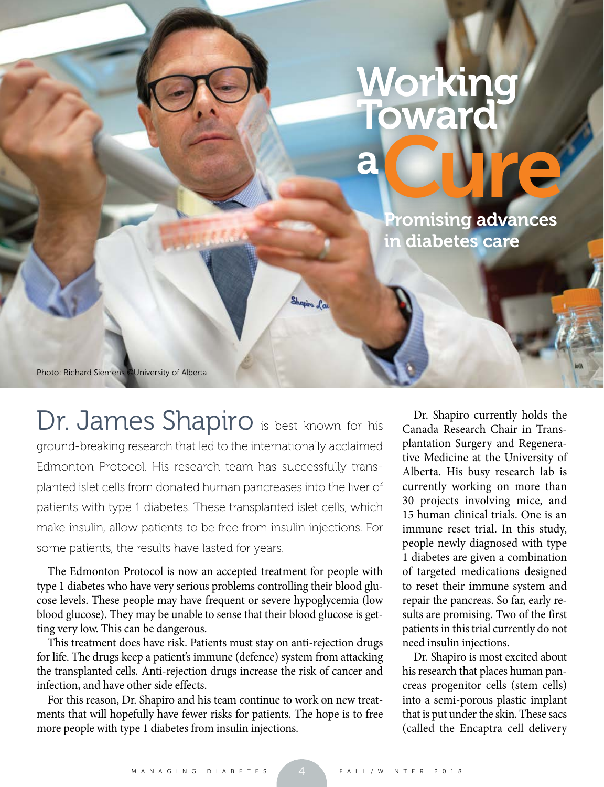## **Vorkin Toward** <sup>a</sup>Cure

Promising advances in diabetes care

Photo: Richard Siemens ©University of Alberta

Dr. James Shapiro is best known for his ground-breaking research that led to the internationally acclaimed Edmonton Protocol. His research team has successfully transplanted islet cells from donated human pancreases into the liver of patients with type 1 diabetes. These transplanted islet cells, which make insulin, allow patients to be free from insulin injections. For some patients, the results have lasted for years.

Shapira Lau

The Edmonton Protocol is now an accepted treatment for people with type 1 diabetes who have very serious problems controlling their blood glucose levels. These people may have frequent or severe hypoglycemia (low blood glucose). They may be unable to sense that their blood glucose is getting very low. This can be dangerous.

This treatment does have risk. Patients must stay on anti-rejection drugs for life. The drugs keep a patient's immune (defence) system from attacking the transplanted cells. Anti-rejection drugs increase the risk of cancer and infection, and have other side effects.

For this reason, Dr. Shapiro and his team continue to work on new treatments that will hopefully have fewer risks for patients. The hope is to free more people with type 1 diabetes from insulin injections.

Dr. Shapiro currently holds the Canada Research Chair in Transplantation Surgery and Regenerative Medicine at the University of Alberta. His busy research lab is currently working on more than 30 projects involving mice, and 15 human clinical trials. One is an immune reset trial. In this study, people newly diagnosed with type 1 diabetes are given a combination of targeted medications designed to reset their immune system and repair the pancreas. So far, early results are promising. Two of the first patients in this trial currently do not need insulin injections.

Dr. Shapiro is most excited about his research that places human pancreas progenitor cells (stem cells) into a semi-porous plastic implant that is put under the skin. These sacs (called the Encaptra cell delivery